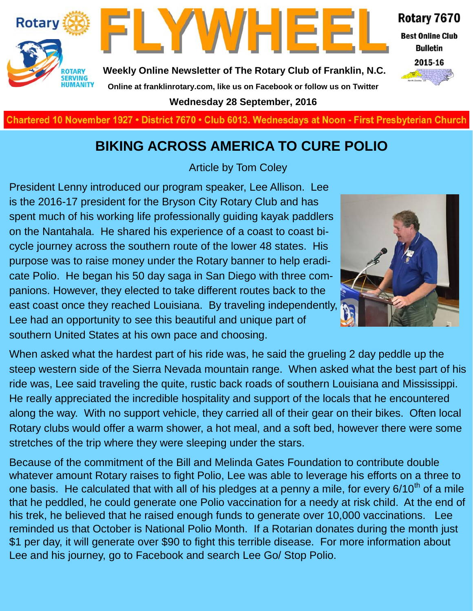



**Weekly Online Newsletter of The Rotary Club of Franklin, N.C. Online at franklinrotary.com, like us on Facebook or follow us on Twitter**

**Wednesday 28 September, 2016**



**Best Online Club Bulletin** 



**Charted November 29, 1927 • District 7670 • Club 6013 Wednesdays at Noon - First Presbyterian Church**

#### **BIKING ACROSS AMERICA TO CURE POLIO**

Article by Tom Coley

President Lenny introduced our program speaker, Lee Allison. Lee is the 2016-17 president for the Bryson City Rotary Club and has spent much of his working life professionally guiding kayak paddlers on the Nantahala. He shared his experience of a coast to coast bicycle journey across the southern route of the lower 48 states. His purpose was to raise money under the Rotary banner to help eradicate Polio. He began his 50 day saga in San Diego with three companions. However, they elected to take different routes back to the east coast once they reached Louisiana. By traveling independently, Lee had an opportunity to see this beautiful and unique part of southern United States at his own pace and choosing.



When asked what the hardest part of his ride was, he said the grueling 2 day peddle up the steep western side of the Sierra Nevada mountain range. When asked what the best part of his ride was, Lee said traveling the quite, rustic back roads of southern Louisiana and Mississippi. He really appreciated the incredible hospitality and support of the locals that he encountered along the way. With no support vehicle, they carried all of their gear on their bikes. Often local Rotary clubs would offer a warm shower, a hot meal, and a soft bed, however there were some stretches of the trip where they were sleeping under the stars.

Because of the commitment of the Bill and Melinda Gates Foundation to contribute double whatever amount Rotary raises to fight Polio, Lee was able to leverage his efforts on a three to one basis. He calculated that with all of his pledges at a penny a mile, for every  $6/10<sup>th</sup>$  of a mile that he peddled, he could generate one Polio vaccination for a needy at risk child. At the end of his trek, he believed that he raised enough funds to generate over 10,000 vaccinations. Lee reminded us that October is National Polio Month. If a Rotarian donates during the month just \$1 per day, it will generate over \$90 to fight this terrible disease. For more information about Lee and his journey, go to Facebook and search Lee Go/ Stop Polio.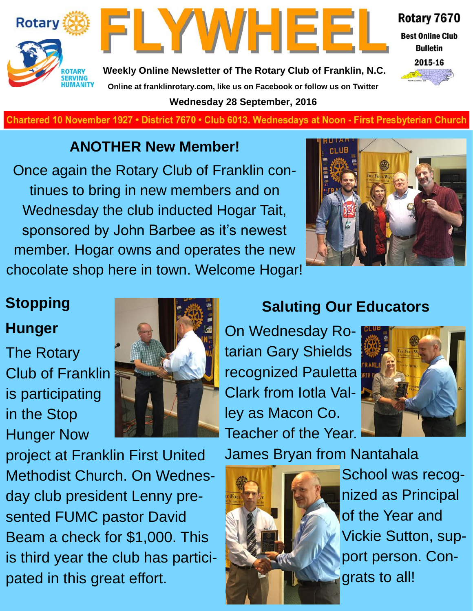



**Weekly Online Newsletter of The Rotary Club of Franklin, N.C. Online at franklinrotary.com, like us on Facebook or follow us on Twitter Wednesday 28 September, 2016**

Rotary 7670 **Best Online Club** 

**Bulletin** 

2015-16

**Charted November 29, 1927 • District 7670 • Club 6013 Wednesdays at Noon - First Presbyterian Church**

#### **ANOTHER New Member!**

Once again the Rotary Club of Franklin continues to bring in new members and on Wednesday the club inducted Hogar Tait, sponsored by John Barbee as it's newest member. Hogar owns and operates the new chocolate shop here in town. Welcome Hogar!



## **Stopping Hunger**

The Rotary Club of Franklin is participating in the Stop Hunger Now



project at Franklin First United Methodist Church. On Wednesday club president Lenny presented FUMC pastor David Beam a check for \$1,000. This is third year the club has participated in this great effort.

## **Saluting Our Educators**

On Wednesday Rotarian Gary Shields recognized Pauletta Clark from Iotla Valley as Macon Co. Teacher of the Year.



James Bryan from Nantahala



School was recognized as Principal of the Year and Vickie Sutton, support person. Congrats to all!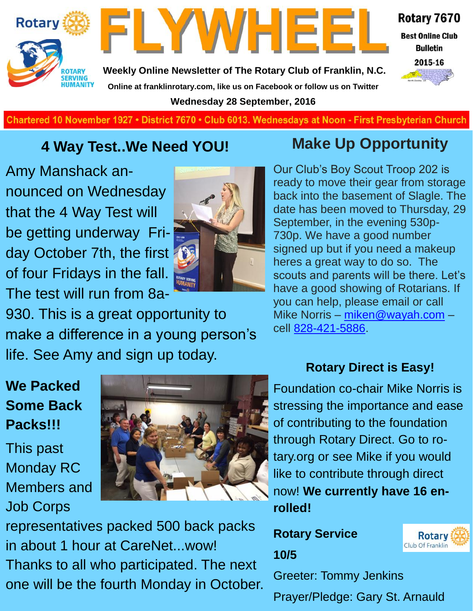



**Weekly Online Newsletter of The Rotary Club of Franklin, N.C. Online at franklinrotary.com, like us on Facebook or follow us on Twitter Wednesday 28 September, 2016**



**Charted November 29, 1927 • District 7670 • Club 6013 Wednesdays at Noon - First Presbyterian Church**

#### **4 Way Test..We Need YOU!**

Amy Manshack announced on Wednesday that the 4 Way Test will be getting underway Friday October 7th, the first of four Fridays in the fall. The test will run from 8a-



930. This is a great opportunity to make a difference in a young person's life. See Amy and sign up today.

## **Make Up Opportunity**

Our Club's Boy Scout Troop 202 is ready to move their gear from storage back into the basement of Slagle. The date has been moved to Thursday, 29 September, in the evening 530p-730p. We have a good number signed up but if you need a makeup heres a great way to do so. The scouts and parents will be there. Let's have a good showing of Rotarians. If you can help, please email or call Mike Norris – [miken@wayah.com](mailto:miken@wayah.com) – cell [828-421-5886.](tel:828-421-5886)

#### **Rotary Direct is Easy!**

### **We Packed Some Back Packs!!!**

This past Monday RC Members and Job Corps



representatives packed 500 back packs in about 1 hour at CareNet...wow! Thanks to all who participated. The next one will be the fourth Monday in October.

Foundation co-chair Mike Norris is stressing the importance and ease of contributing to the foundation through Rotary Direct. Go to rotary.org or see Mike if you would like to contribute through direct now! **We currently have 16 enrolled!**

**Rotary Service 10/5**



Greeter: Tommy Jenkins

Prayer/Pledge: Gary St. Arnauld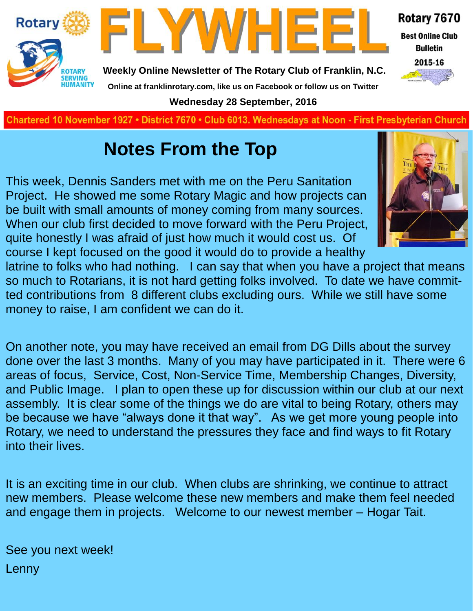

**Charted November 29, 1927 • District 7670 • Club 6013 Wednesdays at Noon - First Presbyterian Church**

## **Notes From the Top**

This week, Dennis Sanders met with me on the Peru Sanitation Project. He showed me some Rotary Magic and how projects can be built with small amounts of money coming from many sources. When our club first decided to move forward with the Peru Project, quite honestly I was afraid of just how much it would cost us. Of course I kept focused on the good it would do to provide a healthy



latrine to folks who had nothing. I can say that when you have a project that means so much to Rotarians, it is not hard getting folks involved. To date we have committed contributions from 8 different clubs excluding ours. While we still have some money to raise, I am confident we can do it.

On another note, you may have received an email from DG Dills about the survey done over the last 3 months. Many of you may have participated in it. There were 6 areas of focus, Service, Cost, Non-Service Time, Membership Changes, Diversity, and Public Image. I plan to open these up for discussion within our club at our next assembly. It is clear some of the things we do are vital to being Rotary, others may be because we have "always done it that way". As we get more young people into Rotary, we need to understand the pressures they face and find ways to fit Rotary into their lives.

It is an exciting time in our club. When clubs are shrinking, we continue to attract new members. Please welcome these new members and make them feel needed and engage them in projects. Welcome to our newest member – Hogar Tait.

See you next week! Lenny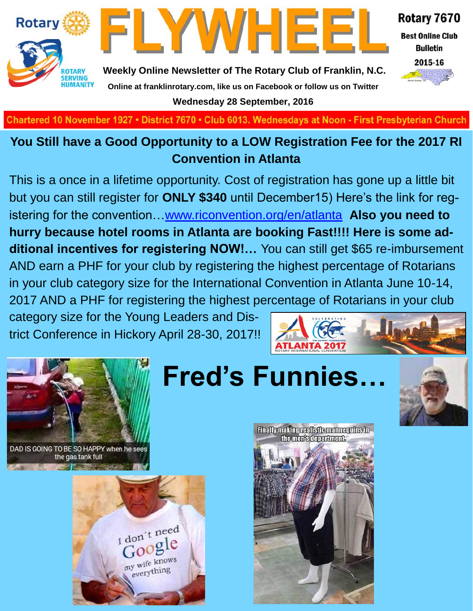



Rotary 7670

**Best Online Club Bulletin** 



**Weekly Online Newsletter of The Rotary Club of Franklin, N.C. Online at franklinrotary.com, like us on Facebook or follow us on Twitter Wednesday 28 September, 2016**

Chartered 10 November 1927 • District 7670 • Club 6013. Wednesdays at Noon - First Presbyterian Church

#### **You Still have a Good Opportunity to a LOW Registration Fee for the 2017 RI Convention in Atlanta**

This is a once in a lifetime opportunity. Cost of registration has gone up a little bit but you can still register for **ONLY \$340** until December15) Here's the link for registering for the convention…[www.riconvention.org/en/atlanta](http://www.riconvention.org/en/atlanta) **Also you need to hurry because hotel rooms in Atlanta are booking Fast!!!! Here is some additional incentives for registering NOW!…** You can still get \$65 re-imbursement AND earn a PHF for your club by registering the highest percentage of Rotarians in your club category size for the International Convention in Atlanta June 10-14, 2017 AND a PHF for registering the highest percentage of Rotarians in your club

category size for the Young Leaders and District Conference in Hickory April 28-30, 2017!!





DAD IS GOING TO BE SO HAPPY when he sees the gas tank full







**Finallymaking realistic mannerulne in** the men's department.